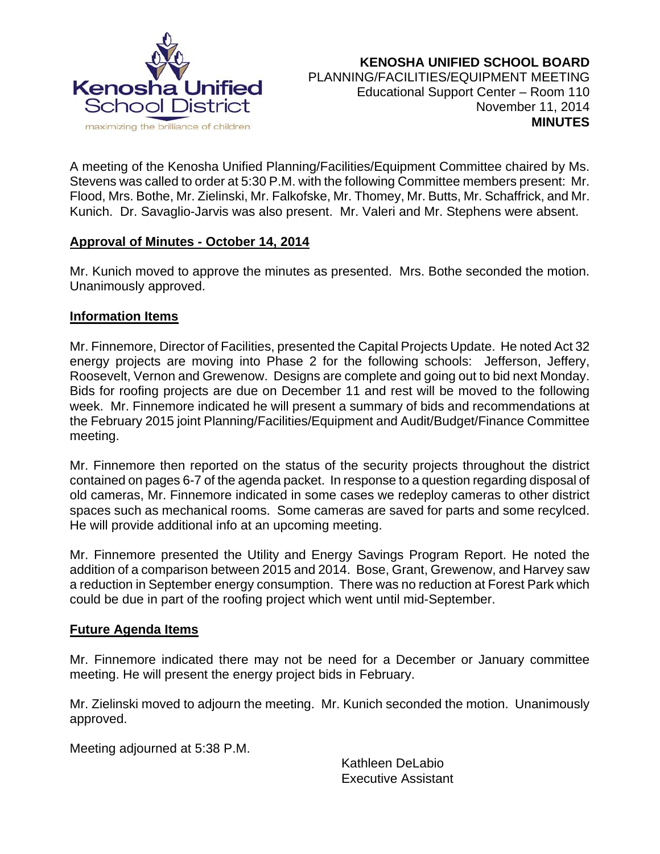

# **KENOSHA UNIFIED SCHOOL BOARD** PLANNING/FACILITIES/EQUIPMENT MEETING Educational Support Center – Room 110 November 11, 2014 **MINUTES**

A meeting of the Kenosha Unified Planning/Facilities/Equipment Committee chaired by Ms. Stevens was called to order at 5:30 P.M. with the following Committee members present: Mr. Flood, Mrs. Bothe, Mr. Zielinski, Mr. Falkofske, Mr. Thomey, Mr. Butts, Mr. Schaffrick, and Mr. Kunich. Dr. Savaglio-Jarvis was also present. Mr. Valeri and Mr. Stephens were absent.

## **Approval of Minutes - October 14, 2014**

Mr. Kunich moved to approve the minutes as presented. Mrs. Bothe seconded the motion. Unanimously approved.

## **Information Items**

Mr. Finnemore, Director of Facilities, presented the Capital Projects Update. He noted Act 32 energy projects are moving into Phase 2 for the following schools: Jefferson, Jeffery, Roosevelt, Vernon and Grewenow. Designs are complete and going out to bid next Monday. Bids for roofing projects are due on December 11 and rest will be moved to the following week. Mr. Finnemore indicated he will present a summary of bids and recommendations at the February 2015 joint Planning/Facilities/Equipment and Audit/Budget/Finance Committee meeting.

Mr. Finnemore then reported on the status of the security projects throughout the district contained on pages 6-7 of the agenda packet. In response to a question regarding disposal of old cameras, Mr. Finnemore indicated in some cases we redeploy cameras to other district spaces such as mechanical rooms. Some cameras are saved for parts and some recylced. He will provide additional info at an upcoming meeting.

Mr. Finnemore presented the Utility and Energy Savings Program Report. He noted the addition of a comparison between 2015 and 2014. Bose, Grant, Grewenow, and Harvey saw a reduction in September energy consumption. There was no reduction at Forest Park which could be due in part of the roofing project which went until mid-September.

## **Future Agenda Items**

Mr. Finnemore indicated there may not be need for a December or January committee meeting. He will present the energy project bids in February.

Mr. Zielinski moved to adjourn the meeting. Mr. Kunich seconded the motion. Unanimously approved.

Meeting adjourned at 5:38 P.M.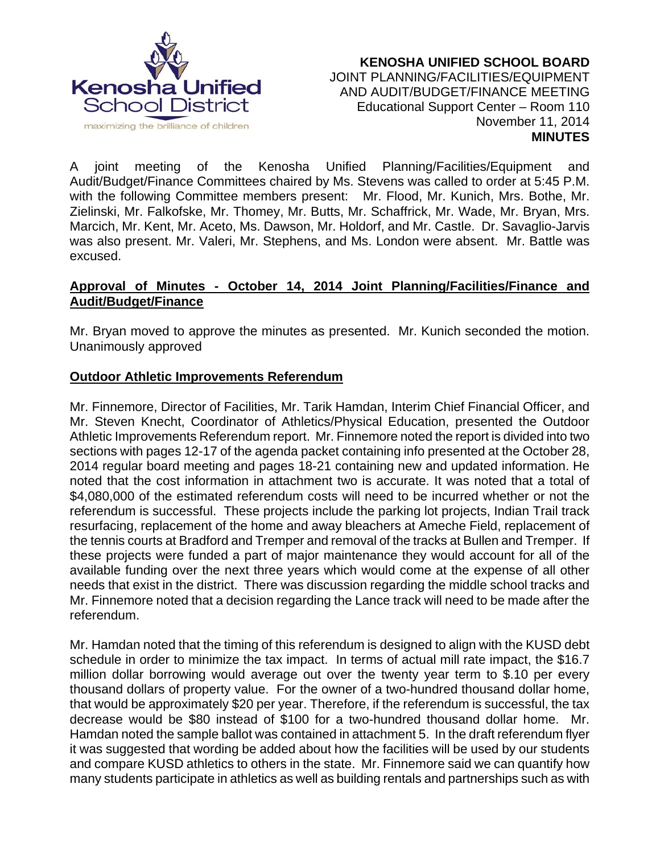

## **KENOSHA UNIFIED SCHOOL BOARD** JOINT PLANNING/FACILITIES/EQUIPMENT AND AUDIT/BUDGET/FINANCE MEETING Educational Support Center – Room 110 November 11, 2014 **MINUTES**

A joint meeting of the Kenosha Unified Planning/Facilities/Equipment and Audit/Budget/Finance Committees chaired by Ms. Stevens was called to order at 5:45 P.M. with the following Committee members present: Mr. Flood, Mr. Kunich, Mrs. Bothe, Mr. Zielinski, Mr. Falkofske, Mr. Thomey, Mr. Butts, Mr. Schaffrick, Mr. Wade, Mr. Bryan, Mrs. Marcich, Mr. Kent, Mr. Aceto, Ms. Dawson, Mr. Holdorf, and Mr. Castle. Dr. Savaglio-Jarvis was also present. Mr. Valeri, Mr. Stephens, and Ms. London were absent. Mr. Battle was excused.

# **Approval of Minutes - October 14, 2014 Joint Planning/Facilities/Finance and Audit/Budget/Finance**

Mr. Bryan moved to approve the minutes as presented. Mr. Kunich seconded the motion. Unanimously approved

# **Outdoor Athletic Improvements Referendum**

Mr. Finnemore, Director of Facilities, Mr. Tarik Hamdan, Interim Chief Financial Officer, and Mr. Steven Knecht, Coordinator of Athletics/Physical Education, presented the Outdoor Athletic Improvements Referendum report. Mr. Finnemore noted the report is divided into two sections with pages 12-17 of the agenda packet containing info presented at the October 28, 2014 regular board meeting and pages 18-21 containing new and updated information. He noted that the cost information in attachment two is accurate. It was noted that a total of \$4,080,000 of the estimated referendum costs will need to be incurred whether or not the referendum is successful. These projects include the parking lot projects, Indian Trail track resurfacing, replacement of the home and away bleachers at Ameche Field, replacement of the tennis courts at Bradford and Tremper and removal of the tracks at Bullen and Tremper. If these projects were funded a part of major maintenance they would account for all of the available funding over the next three years which would come at the expense of all other needs that exist in the district. There was discussion regarding the middle school tracks and Mr. Finnemore noted that a decision regarding the Lance track will need to be made after the referendum.

Mr. Hamdan noted that the timing of this referendum is designed to align with the KUSD debt schedule in order to minimize the tax impact. In terms of actual mill rate impact, the \$16.7 million dollar borrowing would average out over the twenty year term to \$.10 per every thousand dollars of property value. For the owner of a two-hundred thousand dollar home, that would be approximately \$20 per year. Therefore, if the referendum is successful, the tax decrease would be \$80 instead of \$100 for a two-hundred thousand dollar home. Mr. Hamdan noted the sample ballot was contained in attachment 5. In the draft referendum flyer it was suggested that wording be added about how the facilities will be used by our students and compare KUSD athletics to others in the state. Mr. Finnemore said we can quantify how many students participate in athletics as well as building rentals and partnerships such as with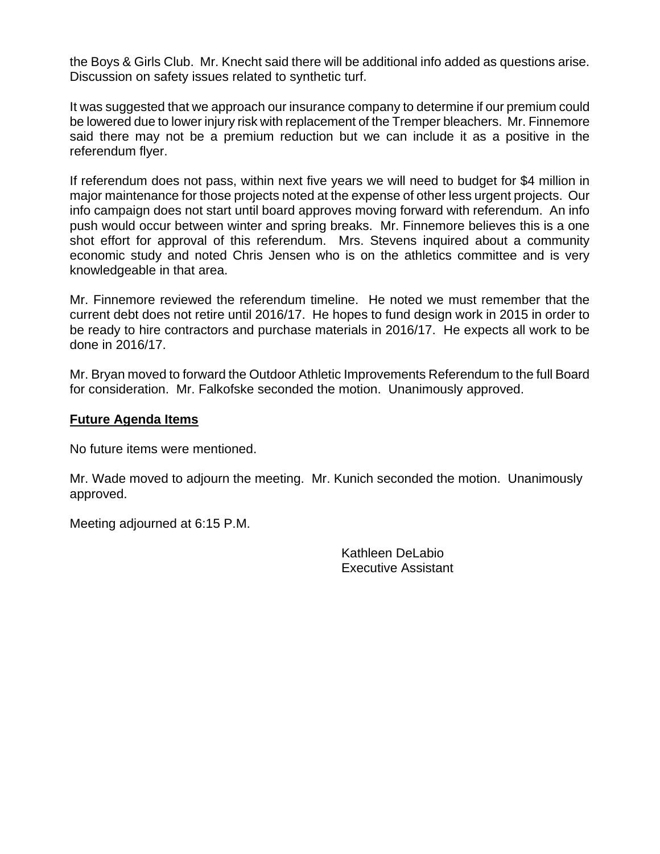the Boys & Girls Club. Mr. Knecht said there will be additional info added as questions arise. Discussion on safety issues related to synthetic turf.

It was suggested that we approach our insurance company to determine if our premium could be lowered due to lower injury risk with replacement of the Tremper bleachers. Mr. Finnemore said there may not be a premium reduction but we can include it as a positive in the referendum flyer.

If referendum does not pass, within next five years we will need to budget for \$4 million in major maintenance for those projects noted at the expense of other less urgent projects. Our info campaign does not start until board approves moving forward with referendum. An info push would occur between winter and spring breaks. Mr. Finnemore believes this is a one shot effort for approval of this referendum. Mrs. Stevens inquired about a community economic study and noted Chris Jensen who is on the athletics committee and is very knowledgeable in that area.

Mr. Finnemore reviewed the referendum timeline. He noted we must remember that the current debt does not retire until 2016/17. He hopes to fund design work in 2015 in order to be ready to hire contractors and purchase materials in 2016/17. He expects all work to be done in 2016/17.

Mr. Bryan moved to forward the Outdoor Athletic Improvements Referendum to the full Board for consideration. Mr. Falkofske seconded the motion. Unanimously approved.

### **Future Agenda Items**

No future items were mentioned.

Mr. Wade moved to adjourn the meeting. Mr. Kunich seconded the motion. Unanimously approved.

Meeting adjourned at 6:15 P.M.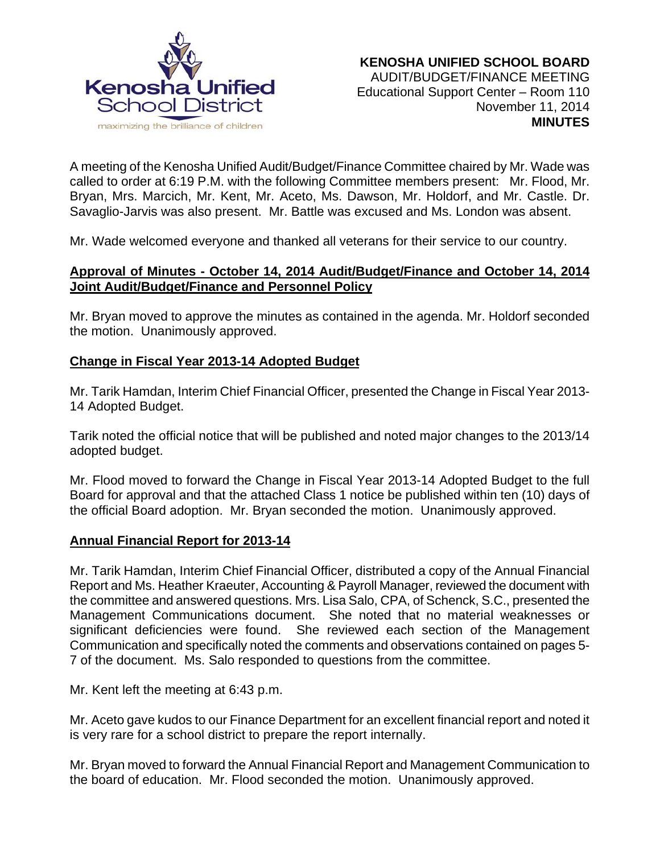

A meeting of the Kenosha Unified Audit/Budget/Finance Committee chaired by Mr. Wade was called to order at 6:19 P.M. with the following Committee members present: Mr. Flood, Mr. Bryan, Mrs. Marcich, Mr. Kent, Mr. Aceto, Ms. Dawson, Mr. Holdorf, and Mr. Castle. Dr. Savaglio-Jarvis was also present. Mr. Battle was excused and Ms. London was absent.

Mr. Wade welcomed everyone and thanked all veterans for their service to our country.

## **Approval of Minutes - October 14, 2014 Audit/Budget/Finance and October 14, 2014 Joint Audit/Budget/Finance and Personnel Policy**

Mr. Bryan moved to approve the minutes as contained in the agenda. Mr. Holdorf seconded the motion. Unanimously approved.

# **Change in Fiscal Year 2013-14 Adopted Budget**

Mr. Tarik Hamdan, Interim Chief Financial Officer, presented the Change in Fiscal Year 2013- 14 Adopted Budget.

Tarik noted the official notice that will be published and noted major changes to the 2013/14 adopted budget.

Mr. Flood moved to forward the Change in Fiscal Year 2013-14 Adopted Budget to the full Board for approval and that the attached Class 1 notice be published within ten (10) days of the official Board adoption. Mr. Bryan seconded the motion. Unanimously approved.

## **Annual Financial Report for 2013-14**

Mr. Tarik Hamdan, Interim Chief Financial Officer, distributed a copy of the Annual Financial Report and Ms. Heather Kraeuter, Accounting & Payroll Manager, reviewed the document with the committee and answered questions. Mrs. Lisa Salo, CPA, of Schenck, S.C., presented the Management Communications document. She noted that no material weaknesses or significant deficiencies were found. She reviewed each section of the Management Communication and specifically noted the comments and observations contained on pages 5- 7 of the document. Ms. Salo responded to questions from the committee.

Mr. Kent left the meeting at 6:43 p.m.

Mr. Aceto gave kudos to our Finance Department for an excellent financial report and noted it is very rare for a school district to prepare the report internally.

Mr. Bryan moved to forward the Annual Financial Report and Management Communication to the board of education. Mr. Flood seconded the motion. Unanimously approved.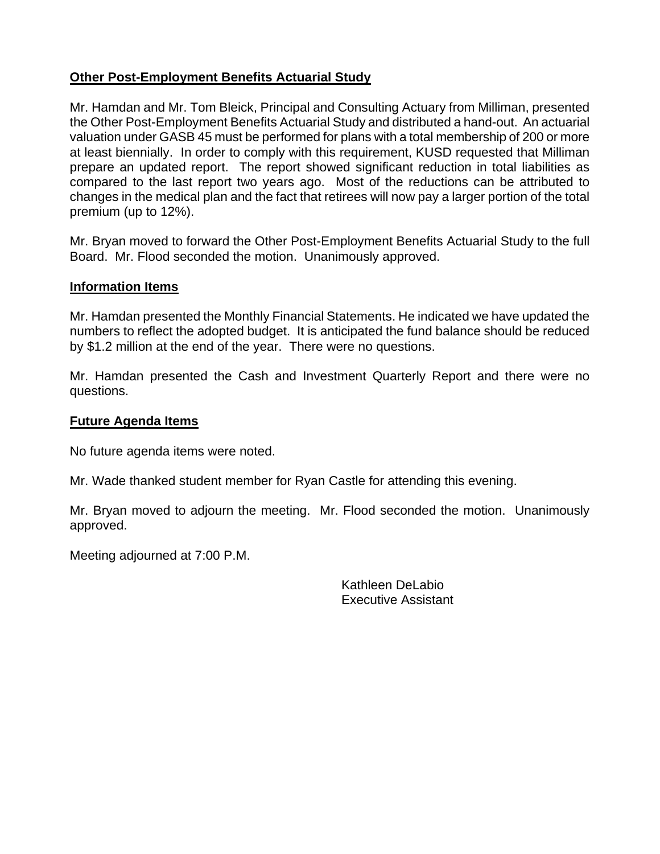# **Other Post-Employment Benefits Actuarial Study**

Mr. Hamdan and Mr. Tom Bleick, Principal and Consulting Actuary from Milliman, presented the Other Post-Employment Benefits Actuarial Study and distributed a hand-out. An actuarial valuation under GASB 45 must be performed for plans with a total membership of 200 or more at least biennially. In order to comply with this requirement, KUSD requested that Milliman prepare an updated report. The report showed significant reduction in total liabilities as compared to the last report two years ago. Most of the reductions can be attributed to changes in the medical plan and the fact that retirees will now pay a larger portion of the total premium (up to 12%).

Mr. Bryan moved to forward the Other Post-Employment Benefits Actuarial Study to the full Board. Mr. Flood seconded the motion. Unanimously approved.

### **Information Items**

Mr. Hamdan presented the Monthly Financial Statements. He indicated we have updated the numbers to reflect the adopted budget. It is anticipated the fund balance should be reduced by \$1.2 million at the end of the year. There were no questions.

Mr. Hamdan presented the Cash and Investment Quarterly Report and there were no questions.

#### **Future Agenda Items**

No future agenda items were noted.

Mr. Wade thanked student member for Ryan Castle for attending this evening.

Mr. Bryan moved to adjourn the meeting. Mr. Flood seconded the motion. Unanimously approved.

Meeting adjourned at 7:00 P.M.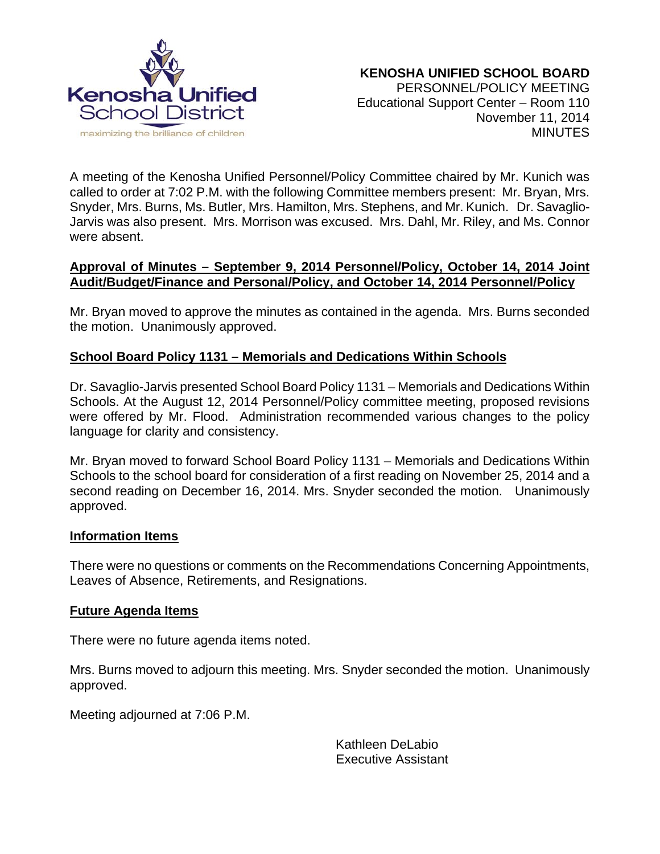

A meeting of the Kenosha Unified Personnel/Policy Committee chaired by Mr. Kunich was called to order at 7:02 P.M. with the following Committee members present: Mr. Bryan, Mrs. Snyder, Mrs. Burns, Ms. Butler, Mrs. Hamilton, Mrs. Stephens, and Mr. Kunich. Dr. Savaglio-Jarvis was also present. Mrs. Morrison was excused. Mrs. Dahl, Mr. Riley, and Ms. Connor were absent.

## **Approval of Minutes – September 9, 2014 Personnel/Policy, October 14, 2014 Joint Audit/Budget/Finance and Personal/Policy, and October 14, 2014 Personnel/Policy**

Mr. Bryan moved to approve the minutes as contained in the agenda. Mrs. Burns seconded the motion. Unanimously approved.

# **School Board Policy 1131 – Memorials and Dedications Within Schools**

Dr. Savaglio-Jarvis presented School Board Policy 1131 – Memorials and Dedications Within Schools. At the August 12, 2014 Personnel/Policy committee meeting, proposed revisions were offered by Mr. Flood. Administration recommended various changes to the policy language for clarity and consistency.

Mr. Bryan moved to forward School Board Policy 1131 – Memorials and Dedications Within Schools to the school board for consideration of a first reading on November 25, 2014 and a second reading on December 16, 2014. Mrs. Snyder seconded the motion. Unanimously approved.

## **Information Items**

There were no questions or comments on the Recommendations Concerning Appointments, Leaves of Absence, Retirements, and Resignations.

## **Future Agenda Items**

There were no future agenda items noted.

Mrs. Burns moved to adjourn this meeting. Mrs. Snyder seconded the motion. Unanimously approved.

Meeting adjourned at 7:06 P.M.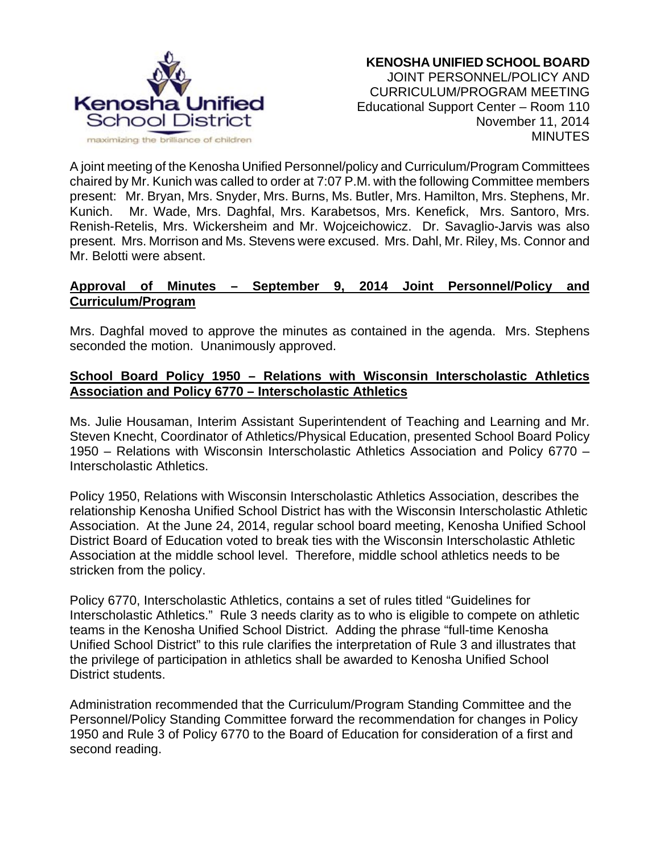

 **KENOSHA UNIFIED SCHOOL BOARD**  JOINT PERSONNEL/POLICY AND CURRICULUM/PROGRAM MEETING Educational Support Center – Room 110 November 11, 2014 **MINUTES** 

A joint meeting of the Kenosha Unified Personnel/policy and Curriculum/Program Committees chaired by Mr. Kunich was called to order at 7:07 P.M. with the following Committee members present: Mr. Bryan, Mrs. Snyder, Mrs. Burns, Ms. Butler, Mrs. Hamilton, Mrs. Stephens, Mr. Kunich. Mr. Wade, Mrs. Daghfal, Mrs. Karabetsos, Mrs. Kenefick, Mrs. Santoro, Mrs. Renish-Retelis, Mrs. Wickersheim and Mr. Wojceichowicz. Dr. Savaglio-Jarvis was also present. Mrs. Morrison and Ms. Stevens were excused. Mrs. Dahl, Mr. Riley, Ms. Connor and Mr. Belotti were absent.

# **Approval of Minutes – September 9, 2014 Joint Personnel/Policy and Curriculum/Program**

Mrs. Daghfal moved to approve the minutes as contained in the agenda. Mrs. Stephens seconded the motion. Unanimously approved.

# **School Board Policy 1950 – Relations with Wisconsin Interscholastic Athletics Association and Policy 6770 – Interscholastic Athletics**

Ms. Julie Housaman, Interim Assistant Superintendent of Teaching and Learning and Mr. Steven Knecht, Coordinator of Athletics/Physical Education, presented School Board Policy 1950 – Relations with Wisconsin Interscholastic Athletics Association and Policy 6770 – Interscholastic Athletics.

Policy 1950, Relations with Wisconsin Interscholastic Athletics Association, describes the relationship Kenosha Unified School District has with the Wisconsin Interscholastic Athletic Association. At the June 24, 2014, regular school board meeting, Kenosha Unified School District Board of Education voted to break ties with the Wisconsin Interscholastic Athletic Association at the middle school level. Therefore, middle school athletics needs to be stricken from the policy.

Policy 6770, Interscholastic Athletics, contains a set of rules titled "Guidelines for Interscholastic Athletics." Rule 3 needs clarity as to who is eligible to compete on athletic teams in the Kenosha Unified School District. Adding the phrase "full-time Kenosha Unified School District" to this rule clarifies the interpretation of Rule 3 and illustrates that the privilege of participation in athletics shall be awarded to Kenosha Unified School District students.

Administration recommended that the Curriculum/Program Standing Committee and the Personnel/Policy Standing Committee forward the recommendation for changes in Policy 1950 and Rule 3 of Policy 6770 to the Board of Education for consideration of a first and second reading.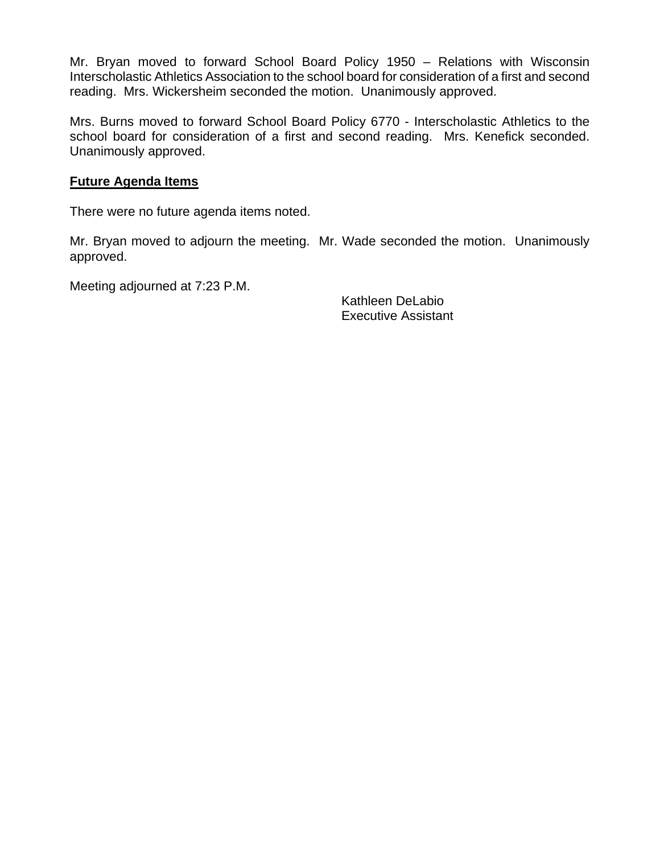Mr. Bryan moved to forward School Board Policy 1950 – Relations with Wisconsin Interscholastic Athletics Association to the school board for consideration of a first and second reading. Mrs. Wickersheim seconded the motion. Unanimously approved.

Mrs. Burns moved to forward School Board Policy 6770 - Interscholastic Athletics to the school board for consideration of a first and second reading. Mrs. Kenefick seconded. Unanimously approved.

# **Future Agenda Items**

There were no future agenda items noted.

Mr. Bryan moved to adjourn the meeting. Mr. Wade seconded the motion. Unanimously approved.

Meeting adjourned at 7:23 P.M.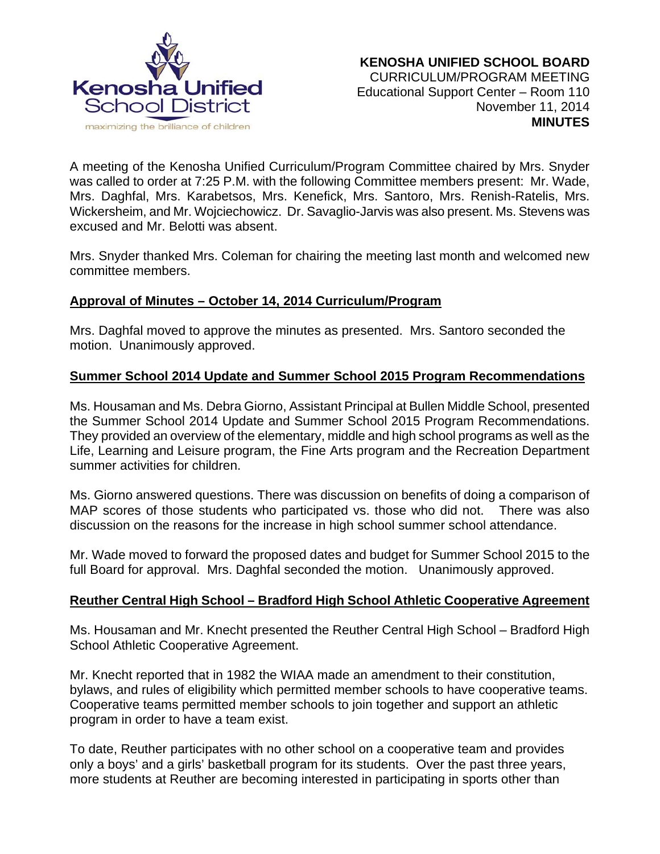

A meeting of the Kenosha Unified Curriculum/Program Committee chaired by Mrs. Snyder was called to order at 7:25 P.M. with the following Committee members present: Mr. Wade, Mrs. Daghfal, Mrs. Karabetsos, Mrs. Kenefick, Mrs. Santoro, Mrs. Renish-Ratelis, Mrs. Wickersheim, and Mr. Wojciechowicz. Dr. Savaglio-Jarvis was also present. Ms. Stevens was excused and Mr. Belotti was absent.

Mrs. Snyder thanked Mrs. Coleman for chairing the meeting last month and welcomed new committee members.

# **Approval of Minutes – October 14, 2014 Curriculum/Program**

Mrs. Daghfal moved to approve the minutes as presented. Mrs. Santoro seconded the motion. Unanimously approved.

# **Summer School 2014 Update and Summer School 2015 Program Recommendations**

Ms. Housaman and Ms. Debra Giorno, Assistant Principal at Bullen Middle School, presented the Summer School 2014 Update and Summer School 2015 Program Recommendations. They provided an overview of the elementary, middle and high school programs as well as the Life, Learning and Leisure program, the Fine Arts program and the Recreation Department summer activities for children.

Ms. Giorno answered questions. There was discussion on benefits of doing a comparison of MAP scores of those students who participated vs. those who did not. There was also discussion on the reasons for the increase in high school summer school attendance.

Mr. Wade moved to forward the proposed dates and budget for Summer School 2015 to the full Board for approval. Mrs. Daghfal seconded the motion. Unanimously approved.

# **Reuther Central High School – Bradford High School Athletic Cooperative Agreement**

Ms. Housaman and Mr. Knecht presented the Reuther Central High School – Bradford High School Athletic Cooperative Agreement.

Mr. Knecht reported that in 1982 the WIAA made an amendment to their constitution, bylaws, and rules of eligibility which permitted member schools to have cooperative teams. Cooperative teams permitted member schools to join together and support an athletic program in order to have a team exist.

To date, Reuther participates with no other school on a cooperative team and provides only a boys' and a girls' basketball program for its students. Over the past three years, more students at Reuther are becoming interested in participating in sports other than